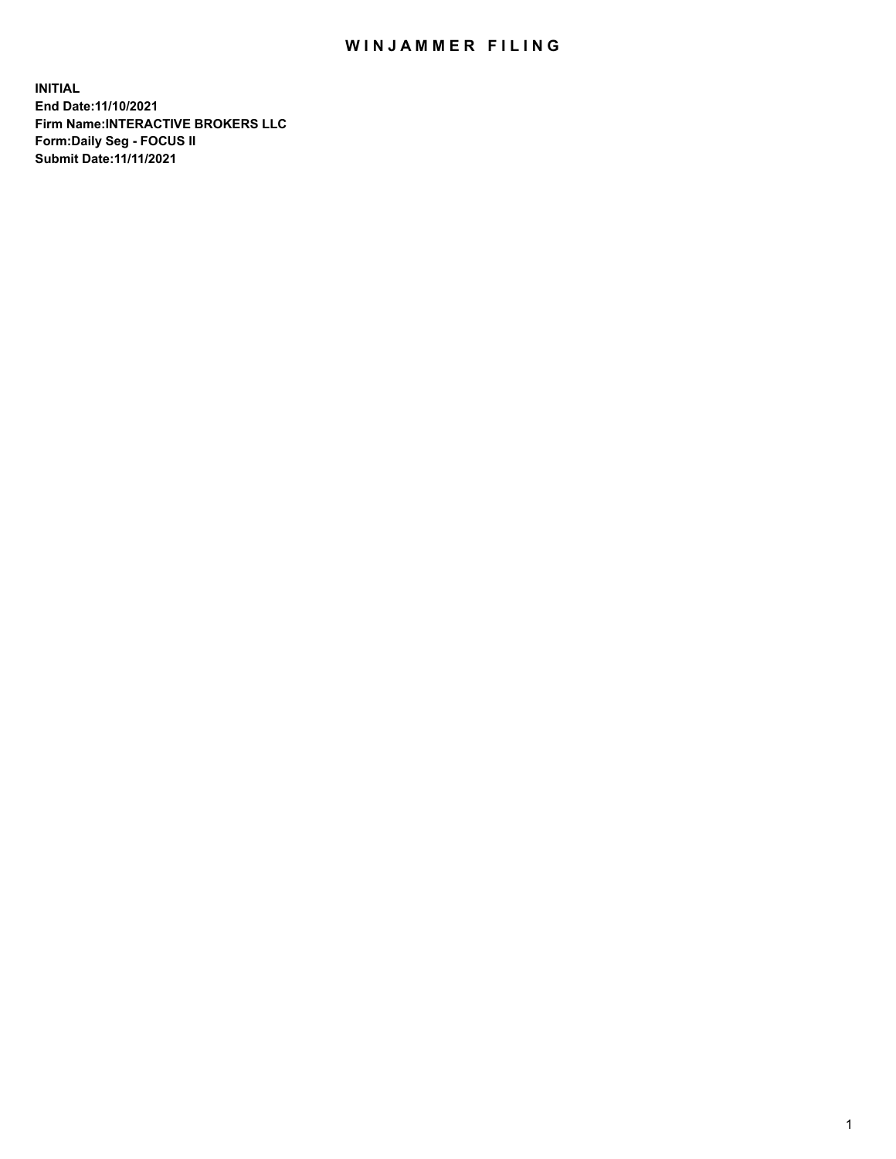## WIN JAMMER FILING

**INITIAL End Date:11/10/2021 Firm Name:INTERACTIVE BROKERS LLC Form:Daily Seg - FOCUS II Submit Date:11/11/2021**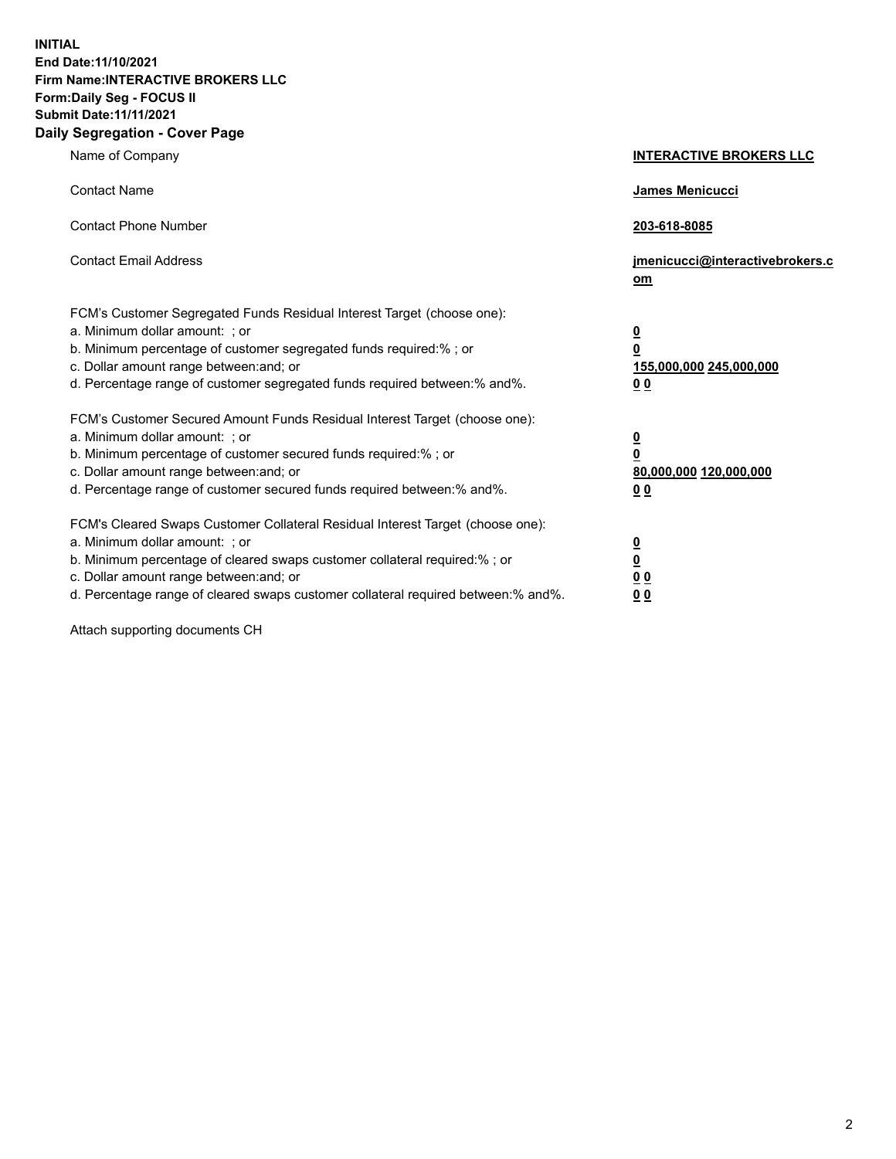**INITIAL End Date:11/10/2021 Firm Name:INTERACTIVE BROKERS LLC Form:Daily Seg - FOCUS II Submit Date:11/11/2021 Daily Segregation - Cover Page**

| Name of Company                                                                                                                                                                                                                                                                                                                | <b>INTERACTIVE BROKERS LLC</b>                                                                           |
|--------------------------------------------------------------------------------------------------------------------------------------------------------------------------------------------------------------------------------------------------------------------------------------------------------------------------------|----------------------------------------------------------------------------------------------------------|
| <b>Contact Name</b>                                                                                                                                                                                                                                                                                                            | James Menicucci                                                                                          |
| <b>Contact Phone Number</b>                                                                                                                                                                                                                                                                                                    | 203-618-8085                                                                                             |
| <b>Contact Email Address</b>                                                                                                                                                                                                                                                                                                   | jmenicucci@interactivebrokers.c<br>om                                                                    |
| FCM's Customer Segregated Funds Residual Interest Target (choose one):<br>a. Minimum dollar amount: ; or<br>b. Minimum percentage of customer segregated funds required:% ; or<br>c. Dollar amount range between: and; or<br>d. Percentage range of customer segregated funds required between:% and%.                         | $\overline{\mathbf{0}}$<br>$\overline{\mathbf{0}}$<br>155,000,000 245,000,000<br>0 <sub>0</sub>          |
| FCM's Customer Secured Amount Funds Residual Interest Target (choose one):<br>a. Minimum dollar amount: ; or<br>b. Minimum percentage of customer secured funds required:%; or<br>c. Dollar amount range between: and; or<br>d. Percentage range of customer secured funds required between:% and%.                            | $\overline{\mathbf{0}}$<br>$\overline{\mathbf{0}}$<br>80,000,000 120,000,000<br>00                       |
| FCM's Cleared Swaps Customer Collateral Residual Interest Target (choose one):<br>a. Minimum dollar amount: ; or<br>b. Minimum percentage of cleared swaps customer collateral required:% ; or<br>c. Dollar amount range between: and; or<br>d. Percentage range of cleared swaps customer collateral required between:% and%. | $\overline{\mathbf{0}}$<br>$\underline{\mathbf{0}}$<br>$\underline{0}$ $\underline{0}$<br>0 <sub>0</sub> |

Attach supporting documents CH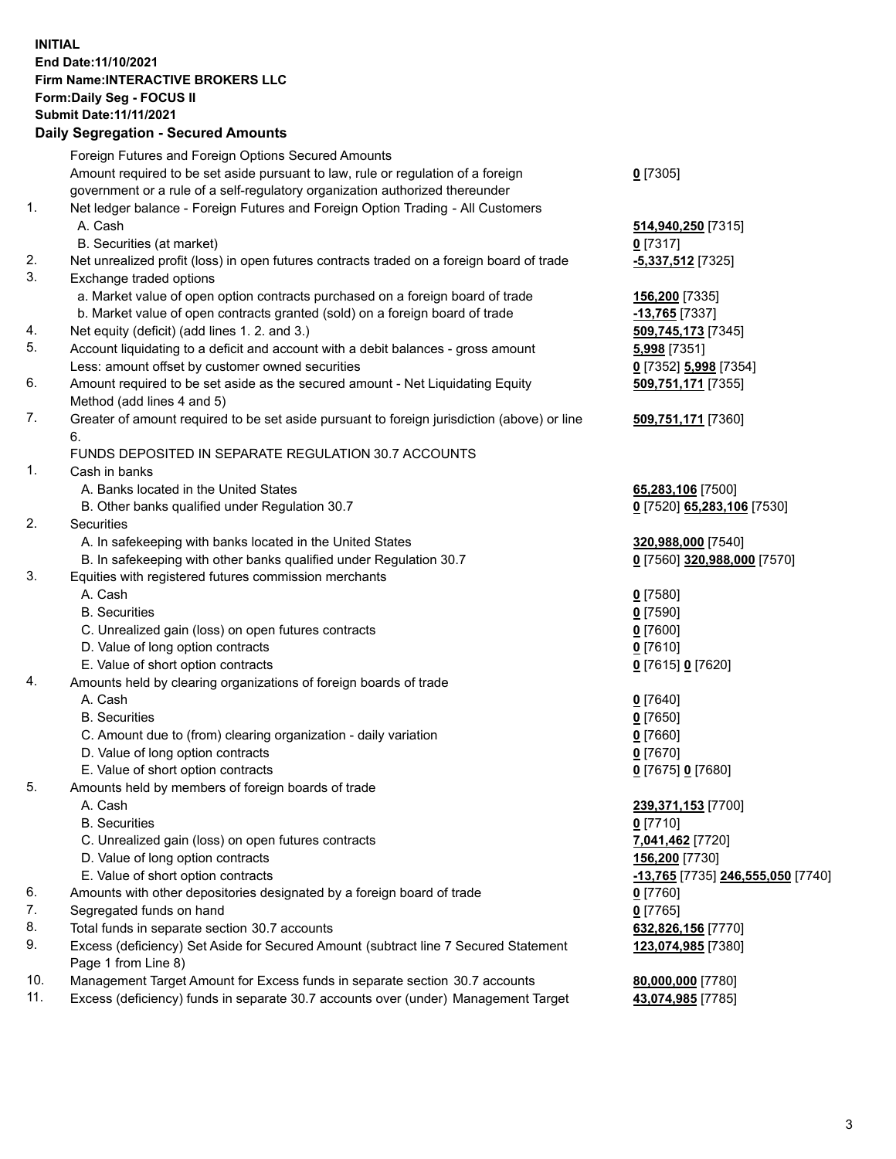## **INITIAL End Date:11/10/2021 Firm Name:INTERACTIVE BROKERS LLC Form:Daily Seg - FOCUS II Submit Date:11/11/2021 Daily Segregation - Secured Amounts**

|     | Dany Ocgregation - Occurea Anioants                                                               |                                   |
|-----|---------------------------------------------------------------------------------------------------|-----------------------------------|
|     | Foreign Futures and Foreign Options Secured Amounts                                               |                                   |
|     | Amount required to be set aside pursuant to law, rule or regulation of a foreign                  | $0$ [7305]                        |
|     | government or a rule of a self-regulatory organization authorized thereunder                      |                                   |
| 1.  | Net ledger balance - Foreign Futures and Foreign Option Trading - All Customers                   |                                   |
|     | A. Cash                                                                                           | 514,940,250 [7315]                |
|     | B. Securities (at market)                                                                         | $0$ [7317]                        |
| 2.  | Net unrealized profit (loss) in open futures contracts traded on a foreign board of trade         | $-5,337,512$ [7325]               |
| 3.  | Exchange traded options                                                                           |                                   |
|     | a. Market value of open option contracts purchased on a foreign board of trade                    | 156,200 [7335]                    |
|     | b. Market value of open contracts granted (sold) on a foreign board of trade                      | -13,765 [7337]                    |
| 4.  | Net equity (deficit) (add lines 1. 2. and 3.)                                                     | 509,745,173 [7345]                |
| 5.  | Account liquidating to a deficit and account with a debit balances - gross amount                 | <b>5,998</b> [7351]               |
|     | Less: amount offset by customer owned securities                                                  | 0 [7352] 5,998 [7354]             |
| 6.  | Amount required to be set aside as the secured amount - Net Liquidating Equity                    | 509,751,171 [7355]                |
|     | Method (add lines 4 and 5)                                                                        |                                   |
| 7.  | Greater of amount required to be set aside pursuant to foreign jurisdiction (above) or line<br>6. | 509,751,171 [7360]                |
|     | FUNDS DEPOSITED IN SEPARATE REGULATION 30.7 ACCOUNTS                                              |                                   |
| 1.  | Cash in banks                                                                                     |                                   |
|     | A. Banks located in the United States                                                             | 65,283,106 [7500]                 |
|     | B. Other banks qualified under Regulation 30.7                                                    | 0 [7520] 65,283,106 [7530]        |
| 2.  | <b>Securities</b>                                                                                 |                                   |
|     | A. In safekeeping with banks located in the United States                                         | 320,988,000 [7540]                |
|     | B. In safekeeping with other banks qualified under Regulation 30.7                                | 0 [7560] 320,988,000 [7570]       |
| 3.  | Equities with registered futures commission merchants                                             |                                   |
|     | A. Cash                                                                                           | $0$ [7580]                        |
|     | <b>B.</b> Securities                                                                              | $0$ [7590]                        |
|     | C. Unrealized gain (loss) on open futures contracts                                               | $0$ [7600]                        |
|     | D. Value of long option contracts                                                                 | $0$ [7610]                        |
|     | E. Value of short option contracts                                                                | 0 [7615] 0 [7620]                 |
| 4.  | Amounts held by clearing organizations of foreign boards of trade                                 |                                   |
|     | A. Cash                                                                                           | $0$ [7640]                        |
|     | <b>B.</b> Securities                                                                              | $0$ [7650]                        |
|     | C. Amount due to (from) clearing organization - daily variation                                   | $0$ [7660]                        |
|     | D. Value of long option contracts                                                                 | $0$ [7670]                        |
|     | E. Value of short option contracts                                                                | 0 [7675] 0 [7680]                 |
| 5.  | Amounts held by members of foreign boards of trade                                                |                                   |
|     | A. Cash                                                                                           | 239,371,153 [7700]                |
|     | <b>B.</b> Securities                                                                              | $0$ [7710]                        |
|     | C. Unrealized gain (loss) on open futures contracts                                               | 7,041,462 [7720]                  |
|     | D. Value of long option contracts                                                                 | 156,200 [7730]                    |
|     | E. Value of short option contracts                                                                | -13,765 [7735] 246,555,050 [7740] |
| 6.  | Amounts with other depositories designated by a foreign board of trade                            | $0$ [7760]                        |
| 7.  | Segregated funds on hand                                                                          | $0$ [7765]                        |
| 8.  | Total funds in separate section 30.7 accounts                                                     | 632,826,156 [7770]                |
| 9.  | Excess (deficiency) Set Aside for Secured Amount (subtract line 7 Secured Statement               | 123,074,985 [7380]                |
|     | Page 1 from Line 8)                                                                               |                                   |
| 10. | Management Target Amount for Excess funds in separate section 30.7 accounts                       | 80,000,000 [7780]                 |
| 11. | Excess (deficiency) funds in separate 30.7 accounts over (under) Management Target                | 43,074,985 [7785]                 |
|     |                                                                                                   |                                   |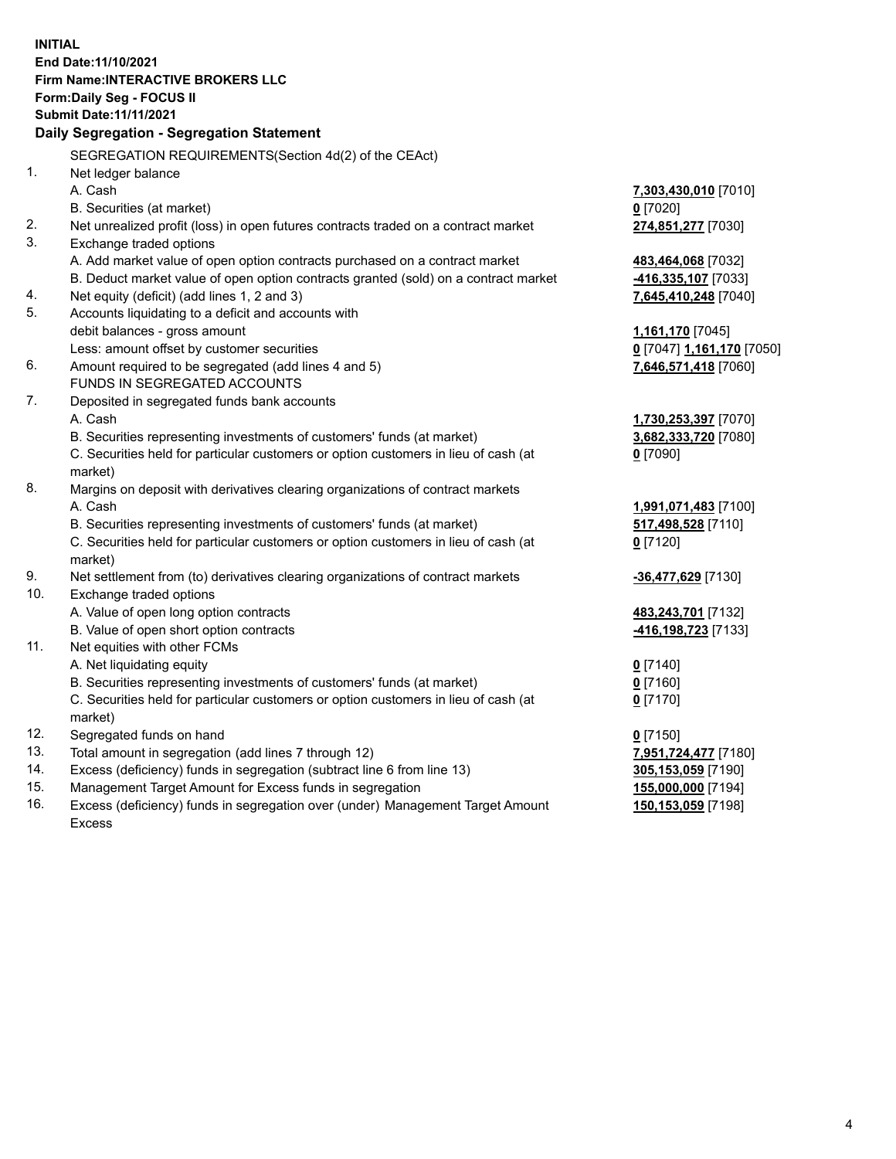**INITIAL End Date:11/10/2021 Firm Name:INTERACTIVE BROKERS LLC Form:Daily Seg - FOCUS II Submit Date:11/11/2021 Daily Segregation - Segregation Statement** SEGREGATION REQUIREMENTS(Section 4d(2) of the CEAct) 1. Net ledger balance A. Cash **7,303,430,010** [7010] B. Securities (at market) **0** [7020] 2. Net unrealized profit (loss) in open futures contracts traded on a contract market **274,851,277** [7030] 3. Exchange traded options A. Add market value of open option contracts purchased on a contract market **483,464,068** [7032] B. Deduct market value of open option contracts granted (sold) on a contract market **-416,335,107** [7033] 4. Net equity (deficit) (add lines 1, 2 and 3) **7,645,410,248** [7040] 5. Accounts liquidating to a deficit and accounts with debit balances - gross amount **1,161,170** [7045] Less: amount offset by customer securities **0** [7047] **1,161,170** [7050] 6. Amount required to be segregated (add lines 4 and 5) **7,646,571,418** [7060] FUNDS IN SEGREGATED ACCOUNTS 7. Deposited in segregated funds bank accounts A. Cash **1,730,253,397** [7070] B. Securities representing investments of customers' funds (at market) **3,682,333,720** [7080] C. Securities held for particular customers or option customers in lieu of cash (at market) **0** [7090] 8. Margins on deposit with derivatives clearing organizations of contract markets A. Cash **1,991,071,483** [7100] B. Securities representing investments of customers' funds (at market) **517,498,528** [7110] C. Securities held for particular customers or option customers in lieu of cash (at market) **0** [7120] 9. Net settlement from (to) derivatives clearing organizations of contract markets **-36,477,629** [7130] 10. Exchange traded options A. Value of open long option contracts **483,243,701** [7132] B. Value of open short option contracts **-416,198,723** [7133] 11. Net equities with other FCMs A. Net liquidating equity **0** [7140] B. Securities representing investments of customers' funds (at market) **0** [7160] C. Securities held for particular customers or option customers in lieu of cash (at market) **0** [7170] 12. Segregated funds on hand **0** [7150] 13. Total amount in segregation (add lines 7 through 12) **7,951,724,477** [7180] 14. Excess (deficiency) funds in segregation (subtract line 6 from line 13) **305,153,059** [7190] 15. Management Target Amount for Excess funds in segregation **155,000,000** [7194] 16. Excess (deficiency) funds in segregation over (under) Management Target Amount Excess **150,153,059** [7198]